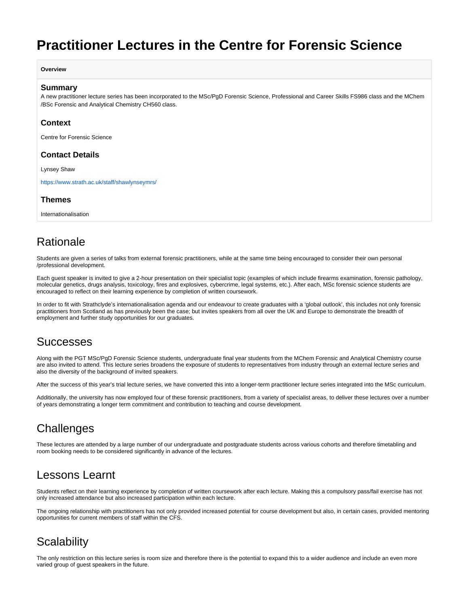# <span id="page-0-0"></span>**Practitioner Lectures in the Centre for Forensic Science**

#### **Overview**

#### **Summary**

A new practitioner lecture series has been incorporated to the MSc/PgD Forensic Science, Professional and Career Skills FS986 class and the MChem /BSc Forensic and Analytical Chemistry CH560 class.

#### **Context**

Centre for Forensic Science

### **Contact Details**

Lynsey Shaw

<https://www.strath.ac.uk/staff/shawlynseymrs/>

### **Themes**

Internationalisation

## Rationale

Students are given a series of talks from external forensic practitioners, while at the same time being encouraged to consider their own personal /professional development.

Each guest speaker is invited to give a 2-hour presentation on their specialist topic (examples of which include firearms examination, forensic pathology, molecular genetics, drugs analysis, toxicology, fires and explosives, cybercrime, legal systems, etc.). After each, MSc forensic science students are encouraged to reflect on their learning experience by completion of written coursework.

In order to fit with Strathclyde's internationalisation agenda and our endeavour to create graduates with a 'global outlook', this includes not only forensic practitioners from Scotland as has previously been the case; but invites speakers from all over the UK and Europe to demonstrate the breadth of employment and further study opportunities for our graduates.

### Successes

Along with the PGT MSc/PgD Forensic Science students, undergraduate final year students from the MChem Forensic and Analytical Chemistry course are also invited to attend. This lecture series broadens the exposure of students to representatives from industry through an external lecture series and also the diversity of the background of invited speakers.

After the success of this year's trial lecture series, we have converted this into a longer-term practitioner lecture series integrated into the MSc curriculum.

Additionally, the university has now employed four of these forensic practitioners, from a variety of specialist areas, to deliver these lectures over a number of years demonstrating a longer term commitment and contribution to teaching and course development.

# **Challenges**

These lectures are attended by a large number of our undergraduate and postgraduate students across various cohorts and therefore timetabling and room booking needs to be considered significantly in advance of the lectures.

### Lessons Learnt

Students reflect on their learning experience by completion of written coursework after each lecture. Making this a compulsory pass/fail exercise has not only increased attendance but also increased participation within each lecture.

The ongoing relationship with practitioners has not only provided increased potential for course development but also, in certain cases, provided mentoring opportunities for current members of staff within the CFS.

## **Scalability**

The only restriction on this lecture series is room size and therefore there is the potential to expand this to a wider audience and include an even more varied group of guest speakers in the future.